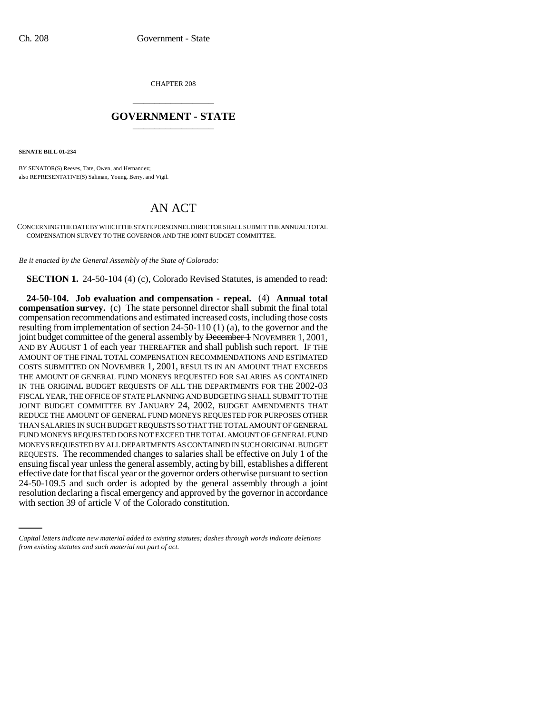CHAPTER 208 \_\_\_\_\_\_\_\_\_\_\_\_\_\_\_

## **GOVERNMENT - STATE** \_\_\_\_\_\_\_\_\_\_\_\_\_\_\_

**SENATE BILL 01-234**

BY SENATOR(S) Reeves, Tate, Owen, and Hernandez; also REPRESENTATIVE(S) Saliman, Young, Berry, and Vigil.

## AN ACT

CONCERNING THE DATE BY WHICH THE STATE PERSONNEL DIRECTOR SHALL SUBMIT THE ANNUAL TOTAL COMPENSATION SURVEY TO THE GOVERNOR AND THE JOINT BUDGET COMMITTEE.

*Be it enacted by the General Assembly of the State of Colorado:*

**SECTION 1.** 24-50-104 (4) (c), Colorado Revised Statutes, is amended to read:

24-50-109.5 and such order is adopted by the general assembly through a joint **24-50-104. Job evaluation and compensation - repeal.** (4) **Annual total compensation survey.** (c) The state personnel director shall submit the final total compensation recommendations and estimated increased costs, including those costs resulting from implementation of section 24-50-110 (1) (a), to the governor and the joint budget committee of the general assembly by December 1 NOVEMBER 1, 2001, AND BY AUGUST 1 of each year THEREAFTER and shall publish such report. IF THE AMOUNT OF THE FINAL TOTAL COMPENSATION RECOMMENDATIONS AND ESTIMATED COSTS SUBMITTED ON NOVEMBER 1, 2001, RESULTS IN AN AMOUNT THAT EXCEEDS THE AMOUNT OF GENERAL FUND MONEYS REQUESTED FOR SALARIES AS CONTAINED IN THE ORIGINAL BUDGET REQUESTS OF ALL THE DEPARTMENTS FOR THE 2002-03 FISCAL YEAR, THE OFFICE OF STATE PLANNING AND BUDGETING SHALL SUBMIT TO THE JOINT BUDGET COMMITTEE BY JANUARY 24, 2002, BUDGET AMENDMENTS THAT REDUCE THE AMOUNT OF GENERAL FUND MONEYS REQUESTED FOR PURPOSES OTHER THAN SALARIES IN SUCH BUDGET REQUESTS SO THAT THE TOTAL AMOUNT OF GENERAL FUND MONEYS REQUESTED DOES NOT EXCEED THE TOTAL AMOUNT OF GENERAL FUND MONEYS REQUESTED BY ALL DEPARTMENTS AS CONTAINED IN SUCH ORIGINAL BUDGET REQUESTS. The recommended changes to salaries shall be effective on July 1 of the ensuing fiscal year unless the general assembly, acting by bill, establishes a different effective date for that fiscal year or the governor orders otherwise pursuant to section resolution declaring a fiscal emergency and approved by the governor in accordance with section 39 of article V of the Colorado constitution.

*Capital letters indicate new material added to existing statutes; dashes through words indicate deletions from existing statutes and such material not part of act.*